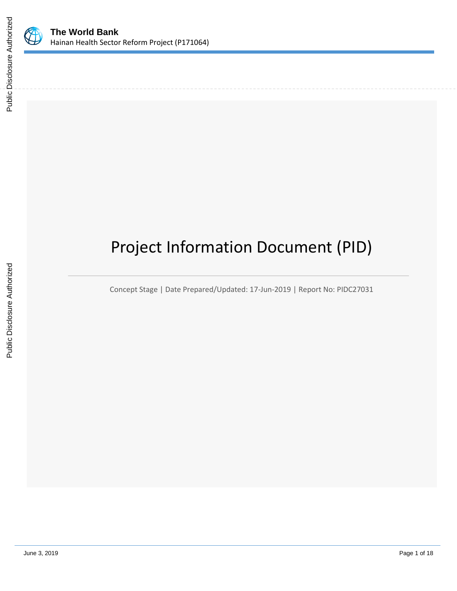

# Project Information Document (PID)

Concept Stage | Date Prepared/Updated: 17-Jun-2019 | Report No: PIDC27031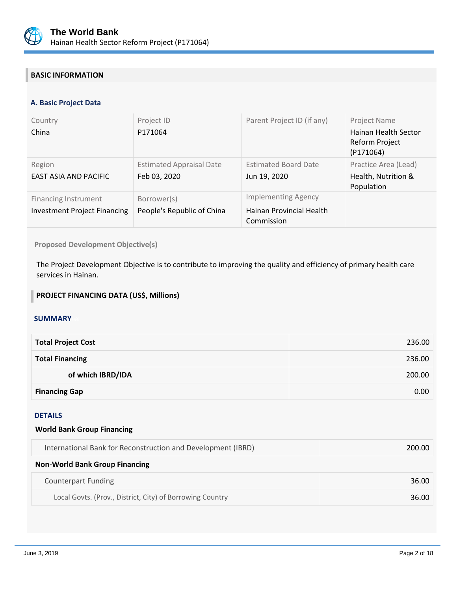

# **BASIC INFORMATION**

# **A. Basic Project Data**

| Country<br>China                                                   | Project ID<br>P171064                           | Parent Project ID (if any)                                           | Project Name<br>Hainan Health Sector<br>Reform Project<br>(P171064) |
|--------------------------------------------------------------------|-------------------------------------------------|----------------------------------------------------------------------|---------------------------------------------------------------------|
| Region<br>EAST ASIA AND PACIFIC                                    | <b>Estimated Appraisal Date</b><br>Feb 03, 2020 | <b>Estimated Board Date</b><br>Jun 19, 2020                          | Practice Area (Lead)<br>Health, Nutrition &<br>Population           |
| <b>Financing Instrument</b><br><b>Investment Project Financing</b> | Borrower(s)<br>People's Republic of China       | <b>Implementing Agency</b><br>Hainan Provincial Health<br>Commission |                                                                     |

**Proposed Development Objective(s)** 

The Project Development Objective is to contribute to improving the quality and efficiency of primary health care services in Hainan.

#### **PROJECT FINANCING DATA (US\$, Millions)**

#### **SUMMARY**

| <b>Total Project Cost</b> | 236.00 |
|---------------------------|--------|
| <b>Total Financing</b>    | 236.00 |
| of which IBRD/IDA         | 200.00 |
| <b>Financing Gap</b>      | 0.00   |

#### DETAILS

#### **World Bank Group Financing**

| International Bank for Reconstruction and Development (IBRD) | 200.00 |
|--------------------------------------------------------------|--------|
|--------------------------------------------------------------|--------|

#### **Non-World Bank Group Financing**

| Counterpart Funding                                       | 36.00 |
|-----------------------------------------------------------|-------|
| Local Govts. (Prov., District, City) of Borrowing Country | 36.00 |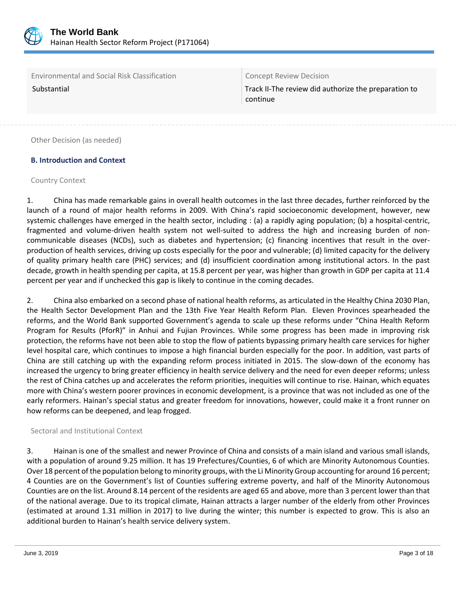

Environmental and Social Risk Classification **Concept Review Decision** 

Substantial Track II-The review did authorize the preparation to continue

Other Decision (as needed)

# **B. Introduction and Context**

#### Country Context

1. China has made remarkable gains in overall health outcomes in the last three decades, further reinforced by the launch of a round of major health reforms in 2009. With China's rapid socioeconomic development, however, new systemic challenges have emerged in the health sector, including : (a) a rapidly aging population; (b) a hospital-centric, fragmented and volume-driven health system not well-suited to address the high and increasing burden of noncommunicable diseases (NCDs), such as diabetes and hypertension; (c) financing incentives that result in the overproduction of health services, driving up costs especially for the poor and vulnerable; (d) limited capacity for the delivery of quality primary health care (PHC) services; and (d) insufficient coordination among institutional actors. In the past decade, growth in health spending per capita, at 15.8 percent per year, was higher than growth in GDP per capita at 11.4 percent per year and if unchecked this gap is likely to continue in the coming decades.

2. China also embarked on a second phase of national health reforms, as articulated in the Healthy China 2030 Plan, the Health Sector Development Plan and the 13th Five Year Health Reform Plan. Eleven Provinces spearheaded the reforms, and the World Bank supported Government's agenda to scale up these reforms under "China Health Reform Program for Results (PforR)" in Anhui and Fujian Provinces. While some progress has been made in improving risk protection, the reforms have not been able to stop the flow of patients bypassing primary health care services for higher level hospital care, which continues to impose a high financial burden especially for the poor. In addition, vast parts of China are still catching up with the expanding reform process initiated in 2015. The slow-down of the economy has increased the urgency to bring greater efficiency in health service delivery and the need for even deeper reforms; unless the rest of China catches up and accelerates the reform priorities, inequities will continue to rise. Hainan, which equates more with China's western poorer provinces in economic development, is a province that was not included as one of the early reformers. Hainan's special status and greater freedom for innovations, however, could make it a front runner on how reforms can be deepened, and leap frogged.

### Sectoral and Institutional Context

3. Hainan is one of the smallest and newer Province of China and consists of a main island and various small islands, with a population of around 9.25 million. It has 19 Prefectures/Counties, 6 of which are Minority Autonomous Counties. Over 18 percent of the population belong to minority groups, with the Li Minority Group accounting for around 16 percent; 4 Counties are on the Government's list of Counties suffering extreme poverty, and half of the Minority Autonomous Counties are on the list. Around 8.14 percent of the residents are aged 65 and above, more than 3 percent lower than that of the national average. Due to its tropical climate, Hainan attracts a larger number of the elderly from other Provinces (estimated at around 1.31 million in 2017) to live during the winter; this number is expected to grow. This is also an additional burden to Hainan's health service delivery system.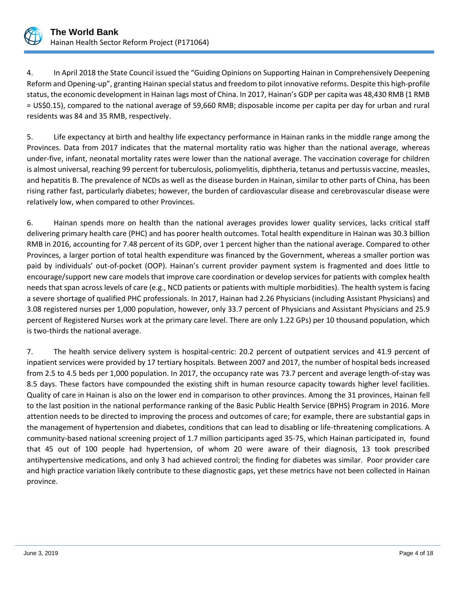

4. In April 2018 the State Council issued the "Guiding Opinions on Supporting Hainan in Comprehensively Deepening Reform and Opening-up", granting Hainan special status and freedom to pilot innovative reforms. Despite this high-profile status, the economic development in Hainan lags most of China. In 2017, Hainan's GDP per capita was 48,430 RMB (1 RMB = US\$0.15), compared to the national average of 59,660 RMB; disposable income per capita per day for urban and rural residents was 84 and 35 RMB, respectively.

5. Life expectancy at birth and healthy life expectancy performance in Hainan ranks in the middle range among the Provinces. Data from 2017 indicates that the maternal mortality ratio was higher than the national average, whereas under-five, infant, neonatal mortality rates were lower than the national average. The vaccination coverage for children is almost universal, reaching 99 percent for tuberculosis, poliomyelitis, diphtheria, tetanus and pertussis vaccine, measles, and hepatitis B. The prevalence of NCDs as well as the disease burden in Hainan, similar to other parts of China, has been rising rather fast, particularly diabetes; however, the burden of cardiovascular disease and cerebrovascular disease were relatively low, when compared to other Provinces.

6. Hainan spends more on health than the national averages provides lower quality services, lacks critical staff delivering primary health care (PHC) and has poorer health outcomes. Total health expenditure in Hainan was 30.3 billion RMB in 2016, accounting for 7.48 percent of its GDP, over 1 percent higher than the national average. Compared to other Provinces, a larger portion of total health expenditure was financed by the Government, whereas a smaller portion was paid by individuals' out-of-pocket (OOP). Hainan's current provider payment system is fragmented and does little to encourage/support new care models that improve care coordination or develop services for patients with complex health needs that span across levels of care (e.g., NCD patients or patients with multiple morbidities). The health system is facing a severe shortage of qualified PHC professionals. In 2017, Hainan had 2.26 Physicians (including Assistant Physicians) and 3.08 registered nurses per 1,000 population, however, only 33.7 percent of Physicians and Assistant Physicians and 25.9 percent of Registered Nurses work at the primary care level. There are only 1.22 GPs) per 10 thousand population, which is two-thirds the national average.

7. The health service delivery system is hospital-centric: 20.2 percent of outpatient services and 41.9 percent of inpatient services were provided by 17 tertiary hospitals. Between 2007 and 2017, the number of hospital beds increased from 2.5 to 4.5 beds per 1,000 population. In 2017, the occupancy rate was 73.7 percent and average length-of-stay was 8.5 days. These factors have compounded the existing shift in human resource capacity towards higher level facilities. Quality of care in Hainan is also on the lower end in comparison to other provinces. Among the 31 provinces, Hainan fell to the last position in the national performance ranking of the Basic Public Health Service (BPHS) Program in 2016. More attention needs to be directed to improving the process and outcomes of care; for example, there are substantial gaps in the management of hypertension and diabetes, conditions that can lead to disabling or life-threatening complications. A community-based national screening project of 1.7 million participants aged 35-75, which Hainan participated in, found that 45 out of 100 people had hypertension, of whom 20 were aware of their diagnosis, 13 took prescribed antihypertensive medications, and only 3 had achieved control; the finding for diabetes was similar. Poor provider care and high practice variation likely contribute to these diagnostic gaps, yet these metrics have not been collected in Hainan province.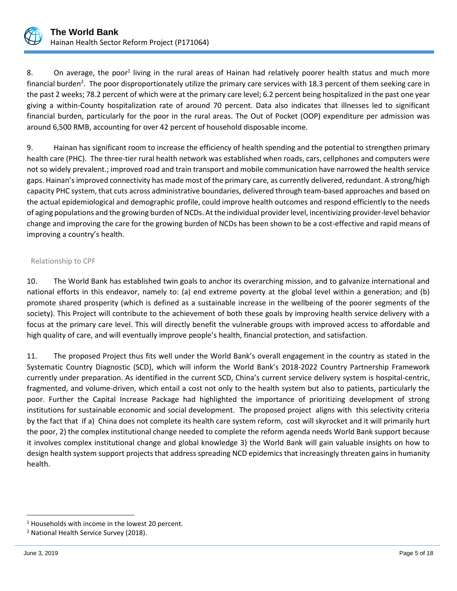

8. On average, the poor<sup>1</sup> living in the rural areas of Hainan had relatively poorer health status and much more financial burden<sup>2</sup>. The poor disproportionately utilize the primary care services with 18.3 percent of them seeking care in the past 2 weeks; 78.2 percent of which were at the primary care level; 6.2 percent being hospitalized in the past one year giving a within-County hospitalization rate of around 70 percent. Data also indicates that illnesses led to significant financial burden, particularly for the poor in the rural areas. The Out of Pocket (OOP) expenditure per admission was around 6,500 RMB, accounting for over 42 percent of household disposable income.

9. Hainan has significant room to increase the efficiency of health spending and the potential to strengthen primary health care (PHC). The three-tier rural health network was established when roads, cars, cellphones and computers were not so widely prevalent.; improved road and train transport and mobile communication have narrowed the health service gaps. Hainan's improved connectivity has made most of the primary care, as currently delivered, redundant. A strong/high capacity PHC system, that cuts across administrative boundaries, delivered through team-based approaches and based on the actual epidemiological and demographic profile, could improve health outcomes and respond efficiently to the needs of aging populations and the growing burden of NCDs. At the individual provider level, incentivizing provider-level behavior change and improving the care for the growing burden of NCDs has been shown to be a cost-effective and rapid means of improving a country's health.

#### Relationship to CPF

10. The World Bank has established twin goals to anchor its overarching mission, and to galvanize international and national efforts in this endeavor, namely to: (a) end extreme poverty at the global level within a generation; and (b) promote shared prosperity (which is defined as a sustainable increase in the wellbeing of the poorer segments of the society). This Project will contribute to the achievement of both these goals by improving health service delivery with a focus at the primary care level. This will directly benefit the vulnerable groups with improved access to affordable and high quality of care, and will eventually improve people's health, financial protection, and satisfaction.

11. The proposed Project thus fits well under the World Bank's overall engagement in the country as stated in the Systematic Country Diagnostic (SCD), which will inform the World Bank's 2018-2022 Country Partnership Framework currently under preparation. As identified in the current SCD, China's current service delivery system is hospital-centric, fragmented, and volume-driven, which entail a cost not only to the health system but also to patients, particularly the poor. Further the Capital Increase Package had highlighted the importance of prioritizing development of strong institutions for sustainable economic and social development. The proposed project aligns with this selectivity criteria by the fact that if a) China does not complete its health care system reform, cost will skyrocket and it will primarily hurt the poor, 2) the complex institutional change needed to complete the reform agenda needs World Bank support because it involves complex institutional change and global knowledge 3) the World Bank will gain valuable insights on how to design health system support projects that address spreading NCD epidemics that increasingly threaten gains in humanity health.

 $\overline{a}$ 

 $1$  Households with income in the lowest 20 percent.

<sup>2</sup> National Health Service Survey (2018).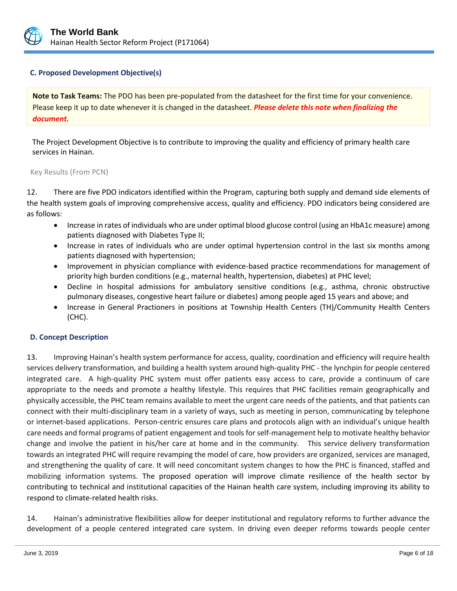

#### **C. Proposed Development Objective(s)**

**Note to Task Teams:** The PDO has been pre-populated from the datasheet for the first time for your convenience. Please keep it up to date whenever it is changed in the datasheet. *Please delete this note when finalizing the document.*

The Project Development Objective is to contribute to improving the quality and efficiency of primary health care services in Hainan.

#### Key Results (From PCN)

12. There are five PDO indicators identified within the Program, capturing both supply and demand side elements of the health system goals of improving comprehensive access, quality and efficiency. PDO indicators being considered are as follows:

- Increase in rates of individuals who are under optimal blood glucose control (using an HbA1c measure) among patients diagnosed with Diabetes Type II;
- Increase in rates of individuals who are under optimal hypertension control in the last six months among patients diagnosed with hypertension;
- Improvement in physician compliance with evidence-based practice recommendations for management of priority high burden conditions (e.g., maternal health, hypertension, diabetes) at PHC level;
- Decline in hospital admissions for ambulatory sensitive conditions (e.g., asthma, chronic obstructive pulmonary diseases, congestive heart failure or diabetes) among people aged 15 years and above; and
- Increase in General Practioners in positions at Township Health Centers (TH)/Community Health Centers (CHC).

#### **D. Concept Description**

13. Improving Hainan's health system performance for access, quality, coordination and efficiency will require health services delivery transformation, and building a health system around high-quality PHC - the lynchpin for people centered integrated care. A high-quality PHC system must offer patients easy access to care, provide a continuum of care appropriate to the needs and promote a healthy lifestyle. This requires that PHC facilities remain geographically and physically accessible, the PHC team remains available to meet the urgent care needs of the patients, and that patients can connect with their multi-disciplinary team in a variety of ways, such as meeting in person, communicating by telephone or internet-based applications. Person-centric ensures care plans and protocols align with an individual's unique health care needs and formal programs of patient engagement and tools for self-management help to motivate healthy behavior change and involve the patient in his/her care at home and in the community. This service delivery transformation towards an integrated PHC will require revamping the model of care, how providers are organized, services are managed, and strengthening the quality of care. It will need concomitant system changes to how the PHC is financed, staffed and mobilizing information systems. The proposed operation will improve climate resilience of the health sector by contributing to technical and institutional capacities of the Hainan health care system, including improving its ability to respond to climate-related health risks.

14. Hainan's administrative flexibilities allow for deeper institutional and regulatory reforms to further advance the development of a people centered integrated care system. In driving even deeper reforms towards people center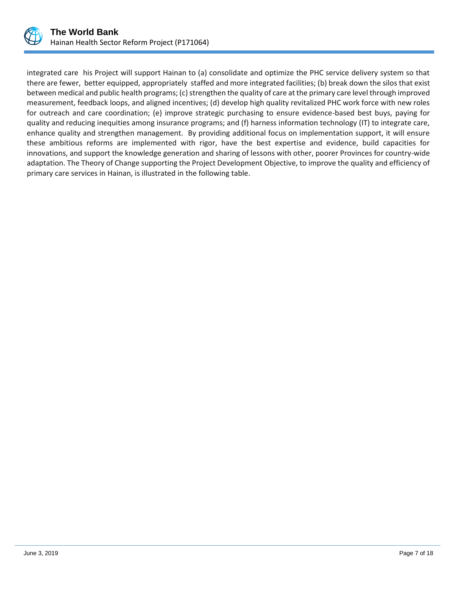

integrated care his Project will support Hainan to (a) consolidate and optimize the PHC service delivery system so that there are fewer, better equipped, appropriately staffed and more integrated facilities; (b) break down the silos that exist between medical and public health programs; (c) strengthen the quality of care at the primary care level through improved measurement, feedback loops, and aligned incentives; (d) develop high quality revitalized PHC work force with new roles for outreach and care coordination; (e) improve strategic purchasing to ensure evidence-based best buys, paying for quality and reducing inequities among insurance programs; and (f) harness information technology (IT) to integrate care, enhance quality and strengthen management. By providing additional focus on implementation support, it will ensure these ambitious reforms are implemented with rigor, have the best expertise and evidence, build capacities for innovations, and support the knowledge generation and sharing of lessons with other, poorer Provinces for country-wide adaptation. The Theory of Change supporting the Project Development Objective, to improve the quality and efficiency of primary care services in Hainan, is illustrated in the following table.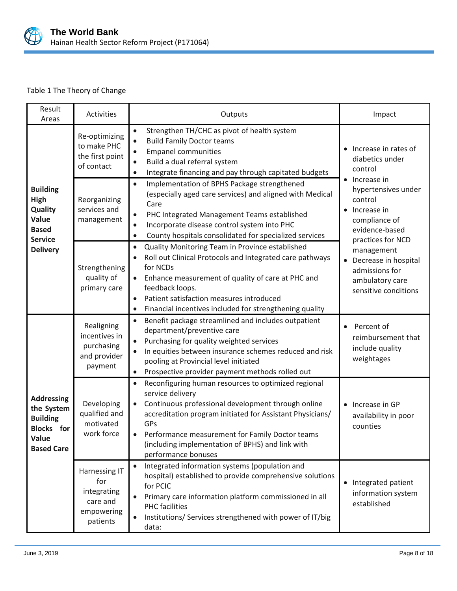

# Table 1 The Theory of Change

| Result<br>Areas                                                                                         | Activities                                                                | Outputs                                                                                                                                                                                                                                                                                                                                                   | Impact                                                                                                                                                                                                                                                                        |
|---------------------------------------------------------------------------------------------------------|---------------------------------------------------------------------------|-----------------------------------------------------------------------------------------------------------------------------------------------------------------------------------------------------------------------------------------------------------------------------------------------------------------------------------------------------------|-------------------------------------------------------------------------------------------------------------------------------------------------------------------------------------------------------------------------------------------------------------------------------|
| <b>Building</b><br><b>High</b><br>Quality<br>Value<br><b>Based</b><br><b>Service</b><br><b>Delivery</b> | Re-optimizing<br>to make PHC<br>the first point<br>of contact             | Strengthen TH/CHC as pivot of health system<br>$\bullet$<br><b>Build Family Doctor teams</b><br>$\bullet$<br><b>Empanel communities</b><br>$\bullet$<br>Build a dual referral system<br>$\bullet$<br>Integrate financing and pay through capitated budgets<br>$\bullet$                                                                                   | Increase in rates of<br>diabetics under<br>control<br>Increase in<br>hypertensives under<br>control<br>Increase in<br>compliance of<br>evidence-based<br>practices for NCD<br>management<br>Decrease in hospital<br>admissions for<br>ambulatory care<br>sensitive conditions |
|                                                                                                         | Reorganizing<br>services and<br>management                                | Implementation of BPHS Package strengthened<br>$\bullet$<br>(especially aged care services) and aligned with Medical<br>Care<br>PHC Integrated Management Teams established<br>$\bullet$<br>Incorporate disease control system into PHC<br>$\bullet$<br>County hospitals consolidated for specialized services<br>$\bullet$                               |                                                                                                                                                                                                                                                                               |
|                                                                                                         | Strengthening<br>quality of<br>primary care                               | Quality Monitoring Team in Province established<br>$\bullet$<br>Roll out Clinical Protocols and Integrated care pathways<br>for NCDs<br>Enhance measurement of quality of care at PHC and<br>feedback loops.<br>Patient satisfaction measures introduced<br>$\bullet$<br>Financial incentives included for strengthening quality<br>$\bullet$             |                                                                                                                                                                                                                                                                               |
|                                                                                                         | Realigning<br>incentives in<br>purchasing<br>and provider<br>payment      | Benefit package streamlined and includes outpatient<br>$\bullet$<br>department/preventive care<br>Purchasing for quality weighted services<br>In equities between insurance schemes reduced and risk<br>$\bullet$<br>pooling at Provincial level initiated<br>Prospective provider payment methods rolled out<br>$\bullet$                                | Percent of<br>reimbursement that<br>include quality<br>weightages                                                                                                                                                                                                             |
| <b>Addressing</b><br>the System<br><b>Building</b><br><b>Blocks</b> for<br>Value<br><b>Based Care</b>   | Developing<br>qualified and<br>motivated<br>work force                    | Reconfiguring human resources to optimized regional<br>$\bullet$<br>service delivery<br>Continuous professional development through online<br>$\bullet$<br>accreditation program initiated for Assistant Physicians/<br>GPs<br>Performance measurement for Family Doctor teams<br>(including implementation of BPHS) and link with<br>performance bonuses | • Increase in GP<br>availability in poor<br>counties                                                                                                                                                                                                                          |
|                                                                                                         | Harnessing IT<br>for<br>integrating<br>care and<br>empowering<br>patients | Integrated information systems (population and<br>hospital) established to provide comprehensive solutions<br>for PCIC<br>Primary care information platform commissioned in all<br><b>PHC</b> facilities<br>Institutions/ Services strengthened with power of IT/big<br>$\bullet$<br>data:                                                                | • Integrated patient<br>information system<br>established                                                                                                                                                                                                                     |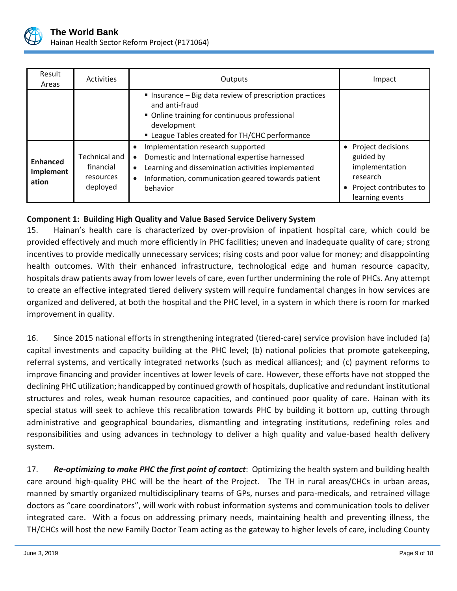

| Result<br>Areas                       | Activities                                          | Outputs                                                                                                                                                                                                                                                       | Impact                                                                                                    |
|---------------------------------------|-----------------------------------------------------|---------------------------------------------------------------------------------------------------------------------------------------------------------------------------------------------------------------------------------------------------------------|-----------------------------------------------------------------------------------------------------------|
|                                       |                                                     | Insurance - Big data review of prescription practices<br>and anti-fraud<br>• Online training for continuous professional<br>development<br>" League Tables created for TH/CHC performance                                                                     |                                                                                                           |
| <b>Enhanced</b><br>Implement<br>ation | Technical and<br>financial<br>resources<br>deployed | Implementation research supported<br>$\bullet$<br>Domestic and International expertise harnessed<br>$\bullet$<br>Learning and dissemination activities implemented<br>$\bullet$<br>Information, communication geared towards patient<br>$\bullet$<br>behavior | Project decisions<br>guided by<br>implementation<br>research<br>Project contributes to<br>learning events |

# **Component 1: Building High Quality and Value Based Service Delivery System**

15. Hainan's health care is characterized by over-provision of inpatient hospital care, which could be provided effectively and much more efficiently in PHC facilities; uneven and inadequate quality of care; strong incentives to provide medically unnecessary services; rising costs and poor value for money; and disappointing health outcomes. With their enhanced infrastructure, technological edge and human resource capacity, hospitals draw patients away from lower levels of care, even further undermining the role of PHCs. Any attempt to create an effective integrated tiered delivery system will require fundamental changes in how services are organized and delivered, at both the hospital and the PHC level, in a system in which there is room for marked improvement in quality.

16. Since 2015 national efforts in strengthening integrated (tiered-care) service provision have included (a) capital investments and capacity building at the PHC level; (b) national policies that promote gatekeeping, referral systems, and vertically integrated networks (such as medical alliances); and (c) payment reforms to improve financing and provider incentives at lower levels of care. However, these efforts have not stopped the declining PHC utilization; handicapped by continued growth of hospitals, duplicative and redundant institutional structures and roles, weak human resource capacities, and continued poor quality of care. Hainan with its special status will seek to achieve this recalibration towards PHC by building it bottom up, cutting through administrative and geographical boundaries, dismantling and integrating institutions, redefining roles and responsibilities and using advances in technology to deliver a high quality and value-based health delivery system.

17. *Re-optimizing to make PHC the first point of contact*: Optimizing the health system and building health care around high-quality PHC will be the heart of the Project. The TH in rural areas/CHCs in urban areas, manned by smartly organized multidisciplinary teams of GPs, nurses and para-medicals, and retrained village doctors as "care coordinators", will work with robust information systems and communication tools to deliver integrated care. With a focus on addressing primary needs, maintaining health and preventing illness, the TH/CHCs will host the new Family Doctor Team acting as the gateway to higher levels of care, including County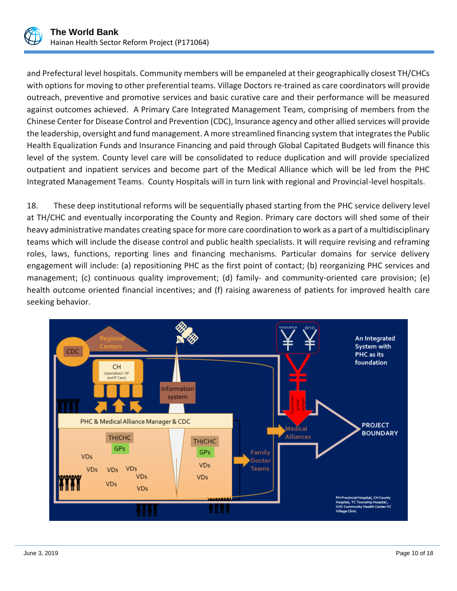

and Prefectural level hospitals. Community members will be empaneled at their geographically closest TH/CHCs with options for moving to other preferential teams. Village Doctors re-trained as care coordinators will provide outreach, preventive and promotive services and basic curative care and their performance will be measured against outcomes achieved. A Primary Care Integrated Management Team, comprising of members from the Chinese Center for Disease Control and Prevention (CDC), Insurance agency and other allied services will provide the leadership, oversight and fund management. A more streamlined financing system that integrates the Public Health Equalization Funds and Insurance Financing and paid through Global Capitated Budgets will finance this level of the system. County level care will be consolidated to reduce duplication and will provide specialized outpatient and inpatient services and become part of the Medical Alliance which will be led from the PHC Integrated Management Teams. County Hospitals will in turn link with regional and Provincial-level hospitals.

18. These deep institutional reforms will be sequentially phased starting from the PHC service delivery level at TH/CHC and eventually incorporating the County and Region. Primary care doctors will shed some of their heavy administrative mandates creating space for more care coordination to work as a part of a multidisciplinary teams which will include the disease control and public health specialists. It will require revising and reframing roles, laws, functions, reporting lines and financing mechanisms. Particular domains for service delivery engagement will include: (a) repositioning PHC as the first point of contact; (b) reorganizing PHC services and management; (c) continuous quality improvement; (d) family- and community-oriented care provision; (e) health outcome oriented financial incentives; and (f) raising awareness of patients for improved health care seeking behavior.

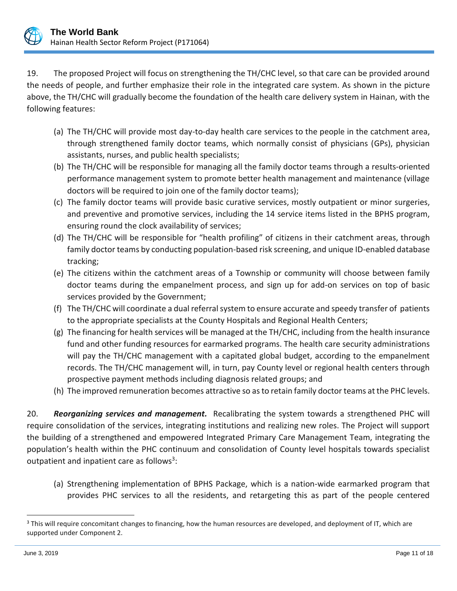

19. The proposed Project will focus on strengthening the TH/CHC level, so that care can be provided around the needs of people, and further emphasize their role in the integrated care system. As shown in the picture above, the TH/CHC will gradually become the foundation of the health care delivery system in Hainan, with the following features:

- (a) The TH/CHC will provide most day-to-day health care services to the people in the catchment area, through strengthened family doctor teams, which normally consist of physicians (GPs), physician assistants, nurses, and public health specialists;
- (b) The TH/CHC will be responsible for managing all the family doctor teams through a results-oriented performance management system to promote better health management and maintenance (village doctors will be required to join one of the family doctor teams);
- (c) The family doctor teams will provide basic curative services, mostly outpatient or minor surgeries, and preventive and promotive services, including the 14 service items listed in the BPHS program, ensuring round the clock availability of services;
- (d) The TH/CHC will be responsible for "health profiling" of citizens in their catchment areas, through family doctor teams by conducting population-based risk screening, and unique ID-enabled database tracking;
- (e) The citizens within the catchment areas of a Township or community will choose between family doctor teams during the empanelment process, and sign up for add-on services on top of basic services provided by the Government;
- (f) The TH/CHC will coordinate a dual referral system to ensure accurate and speedy transfer of patients to the appropriate specialists at the County Hospitals and Regional Health Centers;
- (g) The financing for health services will be managed at the TH/CHC, including from the health insurance fund and other funding resources for earmarked programs. The health care security administrations will pay the TH/CHC management with a capitated global budget, according to the empanelment records. The TH/CHC management will, in turn, pay County level or regional health centers through prospective payment methods including diagnosis related groups; and
- (h) The improved remuneration becomes attractive so as to retain family doctor teams at the PHC levels.

20. *Reorganizing services and management.* Recalibrating the system towards a strengthened PHC will require consolidation of the services, integrating institutions and realizing new roles. The Project will support the building of a strengthened and empowered Integrated Primary Care Management Team, integrating the population's health within the PHC continuum and consolidation of County level hospitals towards specialist outpatient and inpatient care as follows<sup>3</sup>:

(a) Strengthening implementation of BPHS Package, which is a nation-wide earmarked program that provides PHC services to all the residents, and retargeting this as part of the people centered

 $\overline{a}$ 

<sup>&</sup>lt;sup>3</sup> This will require concomitant changes to financing, how the human resources are developed, and deployment of IT, which are supported under Component 2.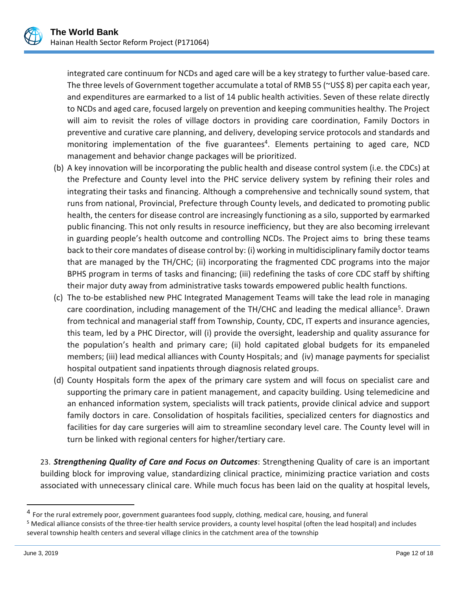

integrated care continuum for NCDs and aged care will be a key strategy to further value-based care. The three levels of Government together accumulate a total of RMB 55 (~US\$ 8) per capita each year, and expenditures are earmarked to a list of 14 public health activities. Seven of these relate directly to NCDs and aged care, focused largely on prevention and keeping communities healthy. The Project will aim to revisit the roles of village doctors in providing care coordination, Family Doctors in preventive and curative care planning, and delivery, developing service protocols and standards and monitoring implementation of the five guarantees<sup>4</sup>. Elements pertaining to aged care, NCD management and behavior change packages will be prioritized.

- (b) A key innovation will be incorporating the public health and disease control system (i.e. the CDCs) at the Prefecture and County level into the PHC service delivery system by refining their roles and integrating their tasks and financing. Although a comprehensive and technically sound system, that runs from national, Provincial, Prefecture through County levels, and dedicated to promoting public health, the centers for disease control are increasingly functioning as a silo, supported by earmarked public financing. This not only results in resource inefficiency, but they are also becoming irrelevant in guarding people's health outcome and controlling NCDs. The Project aims to bring these teams back to their core mandates of disease control by: (i) working in multidisciplinary family doctor teams that are managed by the TH/CHC; (ii) incorporating the fragmented CDC programs into the major BPHS program in terms of tasks and financing; (iii) redefining the tasks of core CDC staff by shifting their major duty away from administrative tasks towards empowered public health functions.
- (c) The to-be established new PHC Integrated Management Teams will take the lead role in managing care coordination, including management of the TH/CHC and leading the medical alliance<sup>5</sup>. Drawn from technical and managerial staff from Township, County, CDC, IT experts and insurance agencies, this team, led by a PHC Director, will (i) provide the oversight, leadership and quality assurance for the population's health and primary care; (ii) hold capitated global budgets for its empaneled members; (iii) lead medical alliances with County Hospitals; and (iv) manage payments for specialist hospital outpatient sand inpatients through diagnosis related groups.
- (d) County Hospitals form the apex of the primary care system and will focus on specialist care and supporting the primary care in patient management, and capacity building. Using telemedicine and an enhanced information system, specialists will track patients, provide clinical advice and support family doctors in care. Consolidation of hospitals facilities, specialized centers for diagnostics and facilities for day care surgeries will aim to streamline secondary level care. The County level will in turn be linked with regional centers for higher/tertiary care.

23. *Strengthening Quality of Care and Focus on Outcomes*: Strengthening Quality of care is an important building block for improving value, standardizing clinical practice, minimizing practice variation and costs associated with unnecessary clinical care. While much focus has been laid on the quality at hospital levels,

 $\overline{a}$ 

<sup>&</sup>lt;sup>4</sup> For the rural extremely poor, government guarantees food supply, clothing, medical care, housing, and funeral

<sup>&</sup>lt;sup>5</sup> Medical alliance consists of the three-tier health service providers, a county level hospital (often the lead hospital) and includes several township health centers and several village clinics in the catchment area of the township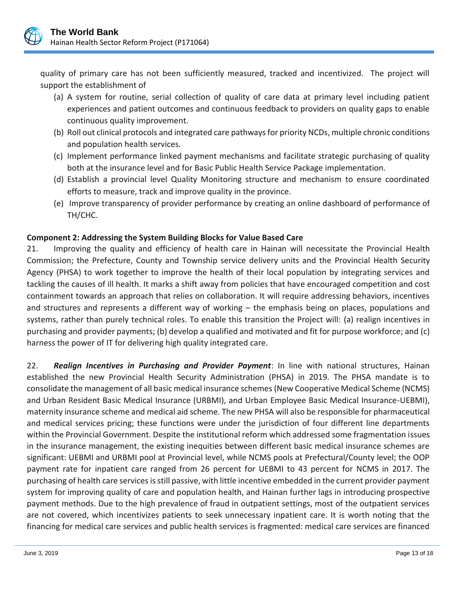

quality of primary care has not been sufficiently measured, tracked and incentivized. The project will support the establishment of

- (a) A system for routine, serial collection of quality of care data at primary level including patient experiences and patient outcomes and continuous feedback to providers on quality gaps to enable continuous quality improvement.
- (b) Roll out clinical protocols and integrated care pathways for priority NCDs, multiple chronic conditions and population health services.
- (c) Implement performance linked payment mechanisms and facilitate strategic purchasing of quality both at the insurance level and for Basic Public Health Service Package implementation.
- (d) Establish a provincial level Quality Monitoring structure and mechanism to ensure coordinated efforts to measure, track and improve quality in the province.
- (e) Improve transparency of provider performance by creating an online dashboard of performance of TH/CHC.

# **Component 2: Addressing the System Building Blocks for Value Based Care**

21. Improving the quality and efficiency of health care in Hainan will necessitate the Provincial Health Commission; the Prefecture, County and Township service delivery units and the Provincial Health Security Agency (PHSA) to work together to improve the health of their local population by integrating services and tackling the causes of ill health. It marks a shift away from policies that have encouraged competition and cost containment towards an approach that relies on collaboration. It will require addressing behaviors, incentives and structures and represents a different way of working – the emphasis being on places, populations and systems, rather than purely technical roles. To enable this transition the Project will: (a) realign incentives in purchasing and provider payments; (b) develop a qualified and motivated and fit for purpose workforce; and (c) harness the power of IT for delivering high quality integrated care.

22. *Realign Incentives in Purchasing and Provider Payment*: In line with national structures, Hainan established the new Provincial Health Security Administration (PHSA) in 2019. The PHSA mandate is to consolidate the management of all basic medical insurance schemes (New Cooperative Medical Scheme (NCMS) and Urban Resident Basic Medical Insurance (URBMI), and Urban Employee Basic Medical Insurance-UEBMI), maternity insurance scheme and medical aid scheme. The new PHSA will also be responsible for pharmaceutical and medical services pricing; these functions were under the jurisdiction of four different line departments within the Provincial Government. Despite the institutional reform which addressed some fragmentation issues in the insurance management, the existing inequities between different basic medical insurance schemes are significant: UEBMI and URBMI pool at Provincial level, while NCMS pools at Prefectural/County level; the OOP payment rate for inpatient care ranged from 26 percent for UEBMI to 43 percent for NCMS in 2017. The purchasing of health care services is still passive, with little incentive embedded in the current provider payment system for improving quality of care and population health, and Hainan further lags in introducing prospective payment methods. Due to the high prevalence of fraud in outpatient settings, most of the outpatient services are not covered, which incentivizes patients to seek unnecessary inpatient care. It is worth noting that the financing for medical care services and public health services is fragmented: medical care services are financed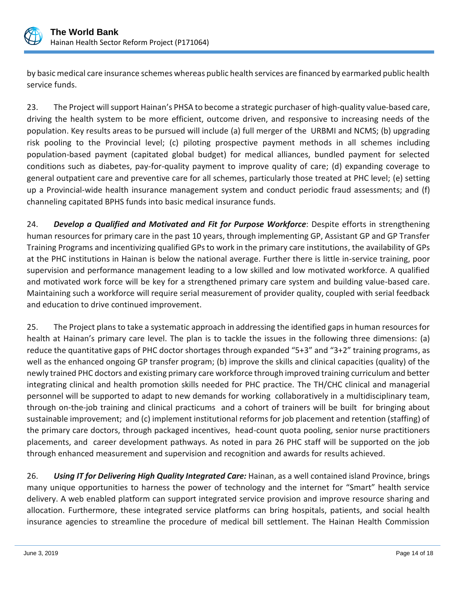

by basic medical care insurance schemes whereas public health services are financed by earmarked public health service funds.

23. The Project will support Hainan's PHSA to become a strategic purchaser of high-quality value-based care, driving the health system to be more efficient, outcome driven, and responsive to increasing needs of the population. Key results areas to be pursued will include (a) full merger of the URBMI and NCMS; (b) upgrading risk pooling to the Provincial level; (c) piloting prospective payment methods in all schemes including population-based payment (capitated global budget) for medical alliances, bundled payment for selected conditions such as diabetes, pay-for-quality payment to improve quality of care; (d) expanding coverage to general outpatient care and preventive care for all schemes, particularly those treated at PHC level; (e) setting up a Provincial-wide health insurance management system and conduct periodic fraud assessments; and (f) channeling capitated BPHS funds into basic medical insurance funds.

24. *Develop a Qualified and Motivated and Fit for Purpose Workforce*: Despite efforts in strengthening human resources for primary care in the past 10 years, through implementing GP, Assistant GP and GP Transfer Training Programs and incentivizing qualified GPs to work in the primary care institutions, the availability of GPs at the PHC institutions in Hainan is below the national average. Further there is little in-service training, poor supervision and performance management leading to a low skilled and low motivated workforce. A qualified and motivated work force will be key for a strengthened primary care system and building value-based care. Maintaining such a workforce will require serial measurement of provider quality, coupled with serial feedback and education to drive continued improvement.

25. The Project plans to take a systematic approach in addressing the identified gaps in human resources for health at Hainan's primary care level. The plan is to tackle the issues in the following three dimensions: (a) reduce the quantitative gaps of PHC doctor shortages through expanded "5+3" and "3+2" training programs, as well as the enhanced ongoing GP transfer program; (b) improve the skills and clinical capacities (quality) of the newly trained PHC doctors and existing primary care workforce through improved training curriculum and better integrating clinical and health promotion skills needed for PHC practice. The TH/CHC clinical and managerial personnel will be supported to adapt to new demands for working collaboratively in a multidisciplinary team, through on-the-job training and clinical practicums and a cohort of trainers will be built for bringing about sustainable improvement; and (c) implement institutional reforms for job placement and retention (staffing) of the primary care doctors, through packaged incentives, head-count quota pooling, senior nurse practitioners placements, and career development pathways. As noted in para 26 PHC staff will be supported on the job through enhanced measurement and supervision and recognition and awards for results achieved.

26. *Using IT for Delivering High Quality Integrated Care:* Hainan, as a well contained island Province, brings many unique opportunities to harness the power of technology and the internet for "Smart" health service delivery. A web enabled platform can support integrated service provision and improve resource sharing and allocation. Furthermore, these integrated service platforms can bring hospitals, patients, and social health insurance agencies to streamline the procedure of medical bill settlement. The Hainan Health Commission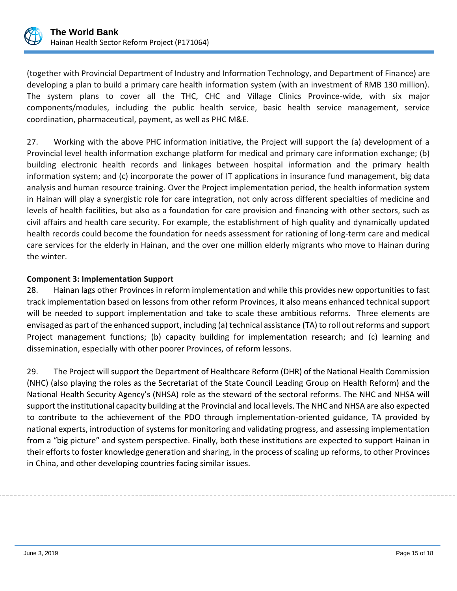

(together with Provincial Department of Industry and Information Technology, and Department of Finance) are developing a plan to build a primary care health information system (with an investment of RMB 130 million). The system plans to cover all the THC, CHC and Village Clinics Province-wide, with six major components/modules, including the public health service, basic health service management, service coordination, pharmaceutical, payment, as well as PHC M&E.

27. Working with the above PHC information initiative, the Project will support the (a) development of a Provincial level health information exchange platform for medical and primary care information exchange; (b) building electronic health records and linkages between hospital information and the primary health information system; and (c) incorporate the power of IT applications in insurance fund management, big data analysis and human resource training. Over the Project implementation period, the health information system in Hainan will play a synergistic role for care integration, not only across different specialties of medicine and levels of health facilities, but also as a foundation for care provision and financing with other sectors, such as civil affairs and health care security. For example, the establishment of high quality and dynamically updated health records could become the foundation for needs assessment for rationing of long-term care and medical care services for the elderly in Hainan, and the over one million elderly migrants who move to Hainan during the winter.

# **Component 3: Implementation Support**

28. Hainan lags other Provinces in reform implementation and while this provides new opportunities to fast track implementation based on lessons from other reform Provinces, it also means enhanced technical support will be needed to support implementation and take to scale these ambitious reforms. Three elements are envisaged as part of the enhanced support, including (a) technical assistance (TA) to roll out reforms and support Project management functions; (b) capacity building for implementation research; and (c) learning and dissemination, especially with other poorer Provinces, of reform lessons.

29. The Project will support the Department of Healthcare Reform (DHR) of the National Health Commission (NHC) (also playing the roles as the Secretariat of the State Council Leading Group on Health Reform) and the National Health Security Agency's (NHSA) role as the steward of the sectoral reforms. The NHC and NHSA will support the institutional capacity building at the Provincial and local levels. The NHC and NHSA are also expected to contribute to the achievement of the PDO through implementation-oriented guidance, TA provided by national experts, introduction of systems for monitoring and validating progress, and assessing implementation from a "big picture" and system perspective. Finally, both these institutions are expected to support Hainan in their efforts to foster knowledge generation and sharing, in the process of scaling up reforms, to other Provinces in China, and other developing countries facing similar issues.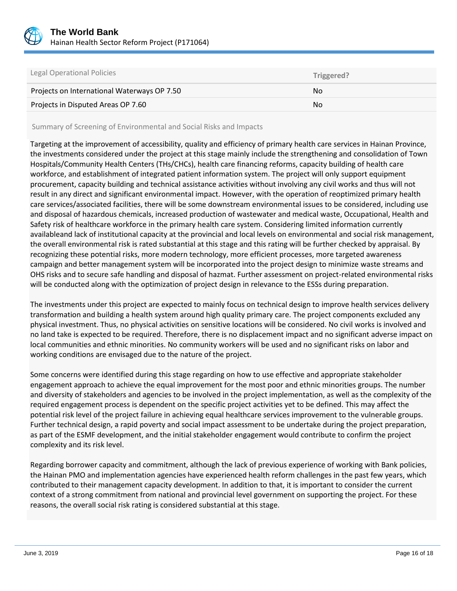

| Legal Operational Policies                  | Triggered? |
|---------------------------------------------|------------|
| Projects on International Waterways OP 7.50 | No.        |
| Projects in Disputed Areas OP 7.60          | No         |

Summary of Screening of Environmental and Social Risks and Impacts

Targeting at the improvement of accessibility, quality and efficiency of primary health care services in Hainan Province, the investments considered under the project at this stage mainly include the strengthening and consolidation of Town Hospitals/Community Health Centers (THs/CHCs), health care financing reforms, capacity building of health care workforce, and establishment of integrated patient information system. The project will only support equipment procurement, capacity building and technical assistance activities without involving any civil works and thus will not result in any direct and significant environmental impact. However, with the operation of reoptimized primary health care services/associated facilities, there will be some downstream environmental issues to be considered, including use and disposal of hazardous chemicals, increased production of wastewater and medical waste, Occupational, Health and Safety risk of healthcare workforce in the primary health care system. Considering limited information currently availableand lack of institutional capacity at the provincial and local levels on environmental and social risk management, the overall environmental risk is rated substantial at this stage and this rating will be further checked by appraisal. By recognizing these potential risks, more modern technology, more efficient processes, more targeted awareness campaign and better management system will be incorporated into the project design to minimize waste streams and OHS risks and to secure safe handling and disposal of hazmat. Further assessment on project-related environmental risks will be conducted along with the optimization of project design in relevance to the ESSs during preparation.

The investments under this project are expected to mainly focus on technical design to improve health services delivery transformation and building a health system around high quality primary care. The project components excluded any physical investment. Thus, no physical activities on sensitive locations will be considered. No civil works is involved and no land take is expected to be required. Therefore, there is no displacement impact and no significant adverse impact on local communities and ethnic minorities. No community workers will be used and no significant risks on labor and working conditions are envisaged due to the nature of the project.

Some concerns were identified during this stage regarding on how to use effective and appropriate stakeholder engagement approach to achieve the equal improvement for the most poor and ethnic minorities groups. The number and diversity of stakeholders and agencies to be involved in the project implementation, as well as the complexity of the required engagement process is dependent on the specific project activities yet to be defined. This may affect the potential risk level of the project failure in achieving equal healthcare services improvement to the vulnerable groups. Further technical design, a rapid poverty and social impact assessment to be undertake during the project preparation, as part of the ESMF development, and the initial stakeholder engagement would contribute to confirm the project complexity and its risk level.

Regarding borrower capacity and commitment, although the lack of previous experience of working with Bank policies, the Hainan PMO and implementation agencies have experienced health reform challenges in the past few years, which contributed to their management capacity development. In addition to that, it is important to consider the current context of a strong commitment from national and provincial level government on supporting the project. For these reasons, the overall social risk rating is considered substantial at this stage.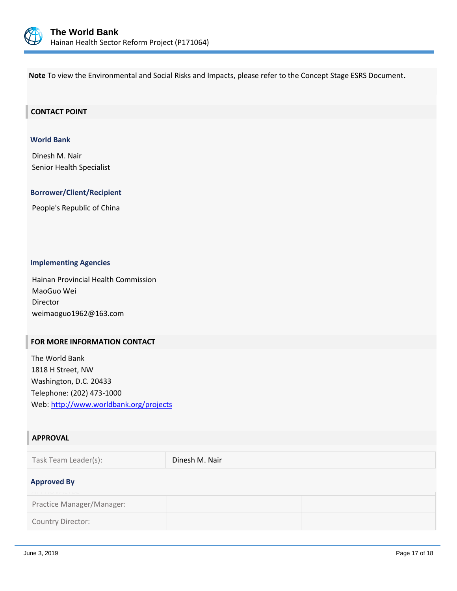

**Note** To view the Environmental and Social Risks and Impacts, please refer to the Concept Stage ESRS Document**.**

#### **CONTACT POINT**

#### **World Bank**

Dinesh M. Nair Senior Health Specialist

#### **Borrower/Client/Recipient**

People's Republic of China

#### **Implementing Agencies**

Hainan Provincial Health Commission MaoGuo Wei Director weimaoguo1962@163.com

#### **FOR MORE INFORMATION CONTACT**

The World Bank 1818 H Street, NW Washington, D.C. 20433 Telephone: (202) 473-1000 Web:<http://www.worldbank.org/projects>

### **APPROVAL**

| Task Team Leader(s):                     | Dinesh M. Nair |  |
|------------------------------------------|----------------|--|
| <b>Approved By</b><br><b>ALLIVYALIDL</b> |                |  |
| Practice Manager/Manager:                |                |  |
| Country Director:                        |                |  |